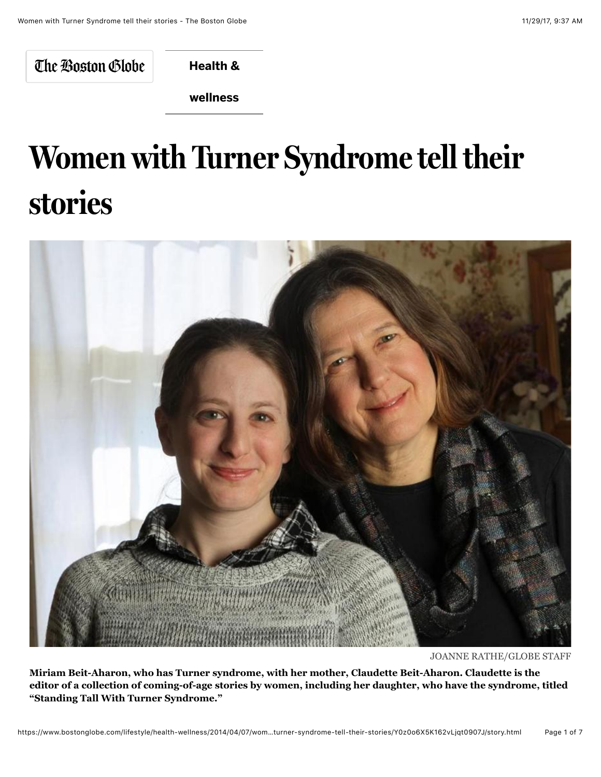The Boston Globe

**[Health &](https://www.bostonglobe.com/lifestyle/health-wellness?p1=BGHeader_SectionLink)**

**wellness**

## **Women with Turner Syndrome tell their stories**



JOANNE RATHE/GLOBE STAFF

**Miriam Beit-Aharon, who has Turner syndrome, with her mother, Claudette Beit-Aharon. Claudette is the editor of a collection of coming-of-age stories by women, including her daughter, who have the syndrome, titled "Standing Tall With Turner Syndrome."**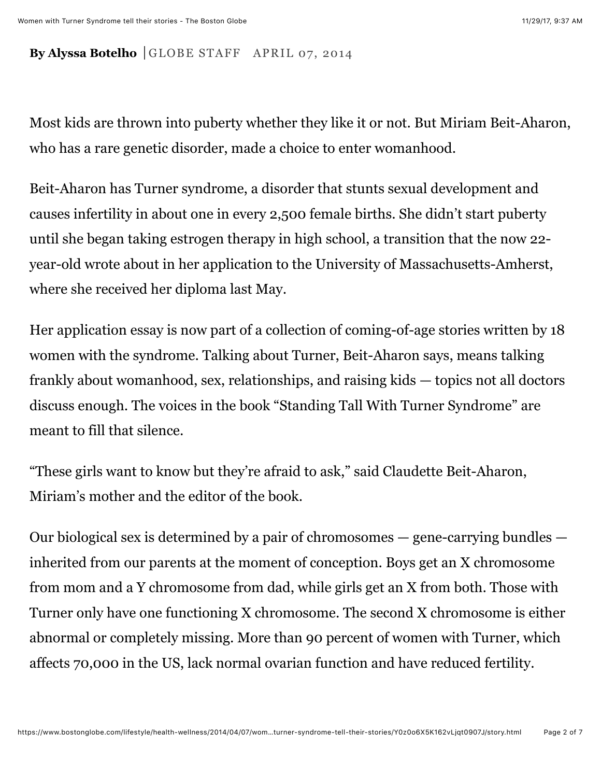## **By Alyssa Botelho** GLOBE STAFF APRIL 07, 2014

Most kids are thrown into puberty whether they like it or not. But Miriam Beit-Aharon, who has a rare genetic disorder, made a choice to enter womanhood.

Beit-Aharon has Turner syndrome, a disorder that stunts sexual development and causes infertility in about one in every 2,500 female births. She didn't start puberty until she began taking estrogen therapy in high school, a transition that the now 22 year-old wrote about in her application to the University of Massachusetts-Amherst, where she received her diploma last May.

Her application essay is now part of a collection of coming-of-age stories written by 18 women with the syndrome. Talking about Turner, Beit-Aharon says, means talking frankly about womanhood, sex, relationships, and raising kids — topics not all doctors discuss enough. The voices in the book "Standing Tall With Turner Syndrome" are meant to fill that silence.

"These girls want to know but they're afraid to ask," said Claudette Beit-Aharon, Miriam's mother and the editor of the book.

Our biological sex is determined by a pair of chromosomes — gene-carrying bundles inherited from our parents at the moment of conception. Boys get an X chromosome from mom and a Y chromosome from dad, while girls get an X from both. Those with Turner only have one functioning X chromosome. The second X chromosome is either abnormal or completely missing. More than 90 percent of women with Turner, which affects 70,000 in the US, lack normal ovarian function and have reduced fertility.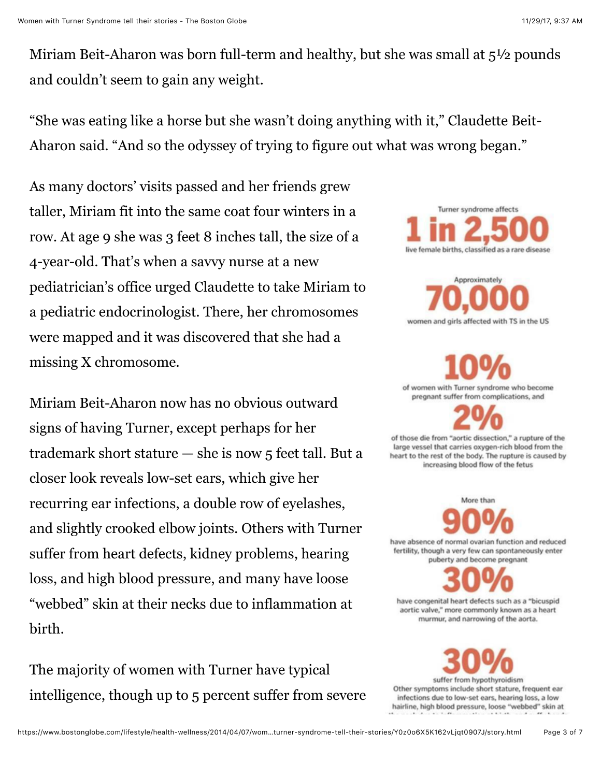Miriam Beit-Aharon was born full-term and healthy, but she was small at  $5\frac{1}{2}$  pounds and couldn't seem to gain any weight.

"She was eating like a horse but she wasn't doing anything with it," Claudette Beit-Aharon said. "And so the odyssey of trying to figure out what was wrong began."

As many doctors' visits passed and her friends grew taller, Miriam fit into the same coat four winters in a row. At age 9 she was 3 feet 8 inches tall, the size of a 4-year-old. That's when a savvy nurse at a new pediatrician's office urged Claudette to take Miriam to a pediatric endocrinologist. There, her chromosomes were mapped and it was discovered that she had a missing X chromosome.

Miriam Beit-Aharon now has no obvious outward signs of having Turner, except perhaps for her trademark short stature — she is now 5 feet tall. But a closer look reveals low-set ears, which give her recurring ear infections, a double row of eyelashes, and slightly crooked elbow joints. Others with Turner suffer from heart defects, kidney problems, hearing loss, and high blood pressure, and many have loose "webbed" skin at their necks due to inflammation at birth.

The majority of women with Turner have typical intelligence, though up to 5 percent suffer from severe



Approximately women and girls affected with TS in the US

of women with Turner syndrome who become pregnant suffer from complications, and

of those die from "aortic dissection," a rupture of the large vessel that carries oxygen-rich blood from the heart to the rest of the body. The rupture is caused by increasing blood flow of the fetus

More than have absence of normal ovarian function and reduced fertility, though a very few can spontaneously enter

puberty and become pregnant

have congenital heart defects such as a "bicuspid aortic valve," more commonly known as a heart murmur, and narrowing of the aorta.

suffer from hypothyroidism Other symptoms include short stature, frequent ear infections due to low-set ears, hearing loss, a low hairline, high blood pressure, loose "webbed" skin at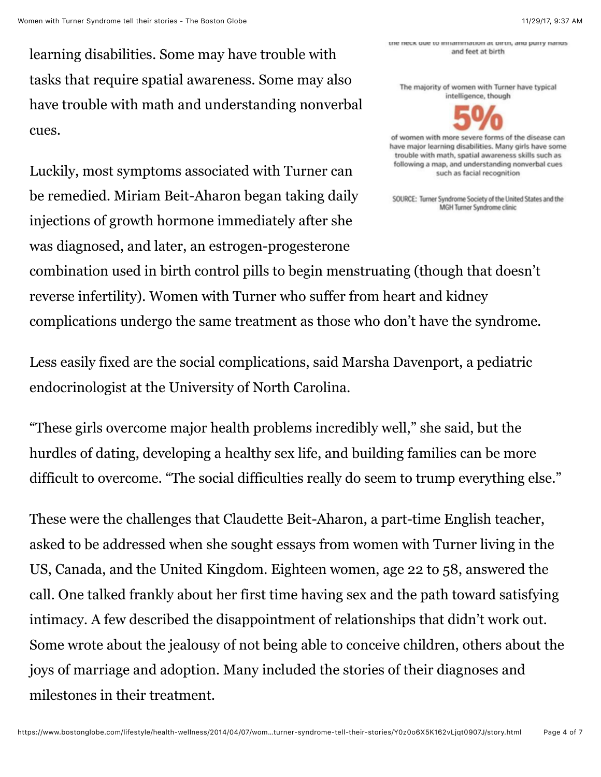the neck due to inflammation at birth, and purry nands and feet at birth

The majority of women with Turner have typical intelligence, though



of women with more severe forms of the disease can have major learning disabilities. Many girls have some trouble with math, spatial awareness skills such as following a map, and understanding nonverbal cues such as facial recognition

SOURCE: Turner Syndrome Society of the United States and the MGH Turner Syndrome clinic

learning disabilities. Some may have trouble with tasks that require spatial awareness. Some may also have trouble with math and understanding nonverbal cues.

Luckily, most symptoms associated with Turner can be remedied. Miriam Beit-Aharon began taking daily injections of growth hormone immediately after she was diagnosed, and later, an estrogen-progesterone

combination used in birth control pills to begin menstruating (though that doesn't reverse infertility). Women with Turner who suffer from heart and kidney complications undergo the same treatment as those who don't have the syndrome.

Less easily fixed are the social complications, said Marsha Davenport, a pediatric endocrinologist at the University of North Carolina.

"These girls overcome major health problems incredibly well," she said, but the hurdles of dating, developing a healthy sex life, and building families can be more difficult to overcome. "The social difficulties really do seem to trump everything else."

These were the challenges that Claudette Beit-Aharon, a part-time English teacher, asked to be addressed when she sought essays from women with Turner living in the US, Canada, and the United Kingdom. Eighteen women, age 22 to 58, answered the call. One talked frankly about her first time having sex and the path toward satisfying intimacy. A few described the disappointment of relationships that didn't work out. Some wrote about the jealousy of not being able to conceive children, others about the joys of marriage and adoption. Many included the stories of their diagnoses and milestones in their treatment.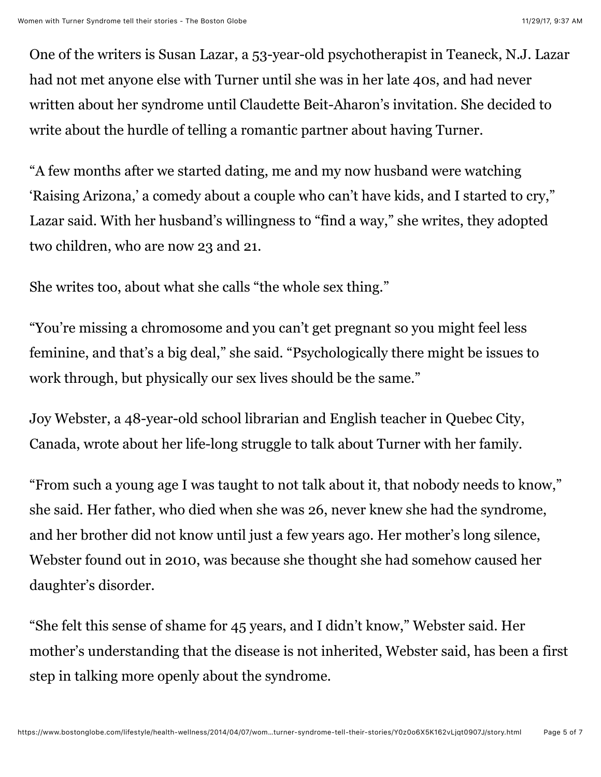One of the writers is Susan Lazar, a 53-year-old psychotherapist in Teaneck, N.J. Lazar had not met anyone else with Turner until she was in her late 40s, and had never written about her syndrome until Claudette Beit-Aharon's invitation. She decided to write about the hurdle of telling a romantic partner about having Turner.

"A few months after we started dating, me and my now husband were watching 'Raising Arizona,' a comedy about a couple who can't have kids, and I started to cry," Lazar said. With her husband's willingness to "find a way," she writes, they adopted two children, who are now 23 and 21.

She writes too, about what she calls "the whole sex thing."

"You're missing a chromosome and you can't get pregnant so you might feel less feminine, and that's a big deal," she said. "Psychologically there might be issues to work through, but physically our sex lives should be the same."

Joy Webster, a 48-year-old school librarian and English teacher in Quebec City, Canada, wrote about her life-long struggle to talk about Turner with her family.

"From such a young age I was taught to not talk about it, that nobody needs to know," she said. Her father, who died when she was 26, never knew she had the syndrome, and her brother did not know until just a few years ago. Her mother's long silence, Webster found out in 2010, was because she thought she had somehow caused her daughter's disorder.

"She felt this sense of shame for 45 years, and I didn't know," Webster said. Her mother's understanding that the disease is not inherited, Webster said, has been a first step in talking more openly about the syndrome.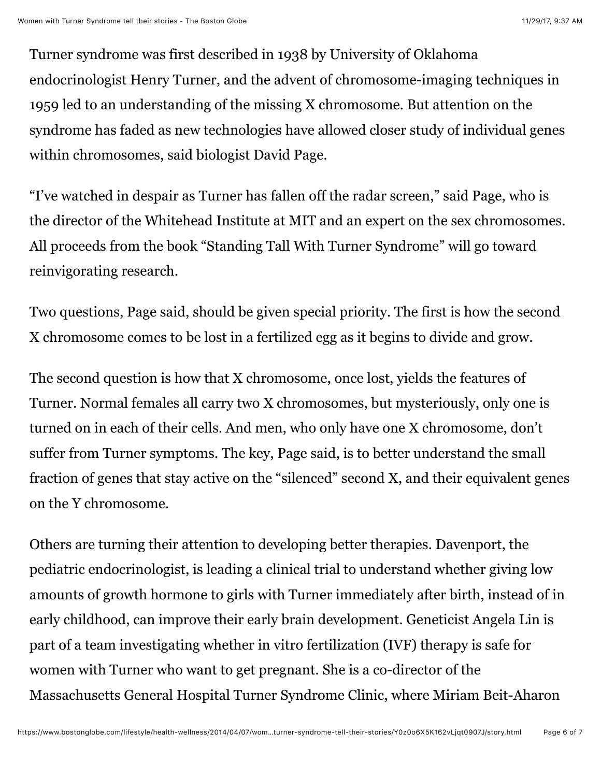Turner syndrome was first described in 1938 by University of Oklahoma endocrinologist Henry Turner, and the advent of chromosome-imaging techniques in 1959 led to an understanding of the missing X chromosome. But attention on the syndrome has faded as new technologies have allowed closer study of individual genes within chromosomes, said biologist David Page.

"I've watched in despair as Turner has fallen off the radar screen," said Page, who is the director of the Whitehead Institute at MIT and an expert on the sex chromosomes. All proceeds from the book "Standing Tall With Turner Syndrome" will go toward reinvigorating research.

Two questions, Page said, should be given special priority. The first is how the second X chromosome comes to be lost in a fertilized egg as it begins to divide and grow.

The second question is how that X chromosome, once lost, yields the features of Turner. Normal females all carry two X chromosomes, but mysteriously, only one is turned on in each of their cells. And men, who only have one X chromosome, don't suffer from Turner symptoms. The key, Page said, is to better understand the small fraction of genes that stay active on the "silenced" second X, and their equivalent genes on the Y chromosome.

Others are turning their attention to developing better therapies. Davenport, the pediatric endocrinologist, is leading a clinical trial to understand whether giving low amounts of growth hormone to girls with Turner immediately after birth, instead of in early childhood, can improve their early brain development. Geneticist Angela Lin is part of a team investigating whether in vitro fertilization (IVF) therapy is safe for women with Turner who want to get pregnant. She is a co-director of the Massachusetts General Hospital Turner Syndrome Clinic, where Miriam Beit-Aharon